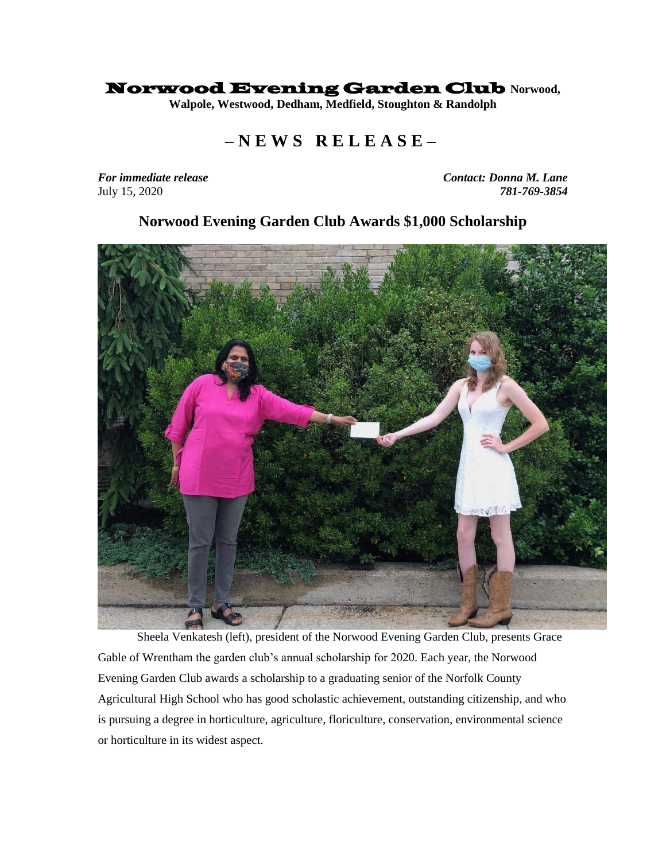## Norwood Evening Garden Club **Norwood,**

**Walpole, Westwood, Dedham, Medfield, Stoughton & Randolph**

## **– N E W S R E L E A S E –**

*For immediate release Contact: Donna M. Lane*  July 15, 2020 *781-769-3854*

## **Norwood Evening Garden Club Awards \$1,000 Scholarship**



Sheela Venkatesh (left), president of the Norwood Evening Garden Club, presents Grace Gable of Wrentham the garden club's annual scholarship for 2020. Each year, the Norwood Evening Garden Club awards a scholarship to a graduating senior of the Norfolk County Agricultural High School who has good scholastic achievement, outstanding citizenship, and who is pursuing a degree in horticulture, agriculture, floriculture, conservation, environmental science or horticulture in its widest aspect.